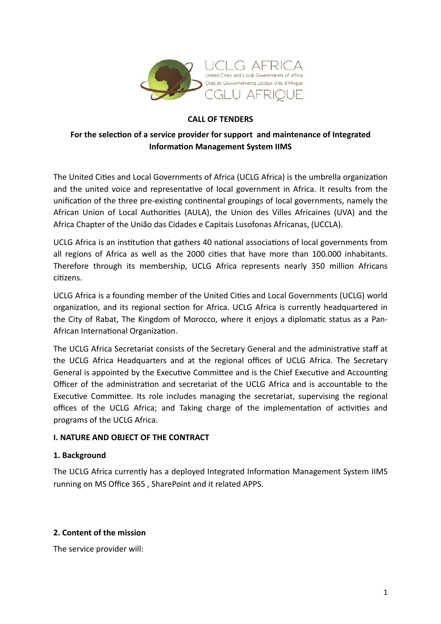

### **CALL OF TENDERS**

## **For the selection of a service provider for support and maintenance of Integrated Information Management System IIMS**

The United Cities and Local Governments of Africa (UCLG Africa) is the umbrella organization and the united voice and representative of local government in Africa. It results from the unification of the three pre-existing continental groupings of local governments, namely the African Union of Local Authorities (AULA), the Union des Villes Africaines (UVA) and the Africa Chapter of the União das Cidades e Capitais Lusofonas Africanas, (UCCLA).

UCLG Africa is an institution that gathers 40 national associations of local governments from all regions of Africa as well as the 2000 cities that have more than 100.000 inhabitants. Therefore through its membership, UCLG Africa represents nearly 350 million Africans citizens.

UCLG Africa is a founding member of the United Cities and Local Governments (UCLG) world organization, and its regional section for Africa. UCLG Africa is currently headquartered in the City of Rabat, The Kingdom of Morocco, where it enjoys a diplomatic status as a Pan-African International Organization.

The UCLG Africa Secretariat consists of the Secretary General and the administrative staff at the UCLG Africa Headquarters and at the regional offices of UCLG Africa. The Secretary General is appointed by the Executive Committee and is the Chief Executive and Accounting Officer of the administration and secretariat of the UCLG Africa and is accountable to the Executive Committee. Its role includes managing the secretariat, supervising the regional offices of the UCLG Africa; and Taking charge of the implementation of activities and programs of the UCLG Africa.

### **I. NATURE AND OBJECT OF THE CONTRACT**

### **1. Background**

The UCLG Africa currently has a deployed Integrated Information Management System IIMS running on MS Office 365 , SharePoint and it related APPS.

### **2. Content of the mission**

The service provider will: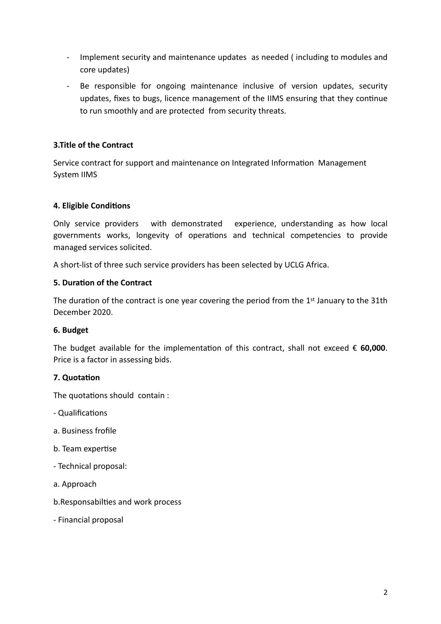- Implement security and maintenance updates as needed ( including to modules and core updates)
- Be responsible for ongoing maintenance inclusive of version updates, security updates, fixes to bugs, licence management of the IIMS ensuring that they continue to run smoothly and are protected from security threats.

### **3.Title of the Contract**

Service contract for support and maintenance on Integrated Information Management System IIMS

### **4. Eligible Conditions**

Only service providers with demonstrated experience, understanding as how local governments works, longevity of operations and technical competencies to provide managed services solicited.

A short-list of three such service providers has been selected by UCLG Africa.

### **5. Duration of the Contract**

The duration of the contract is one year covering the period from the 1<sup>st</sup> January to the 31th December 2020.

# **6. Budget**

The budget available for the implementation of this contract, shall not exceed  $\epsilon$  60,000. Price is a factor in assessing bids.

# **7. Quotation**

The quotations should contain :

- Qualifications
- a. Business frofile
- b. Team expertise
- Technical proposal:
- a. Approach
- b.Responsabilties and work process
- Financial proposal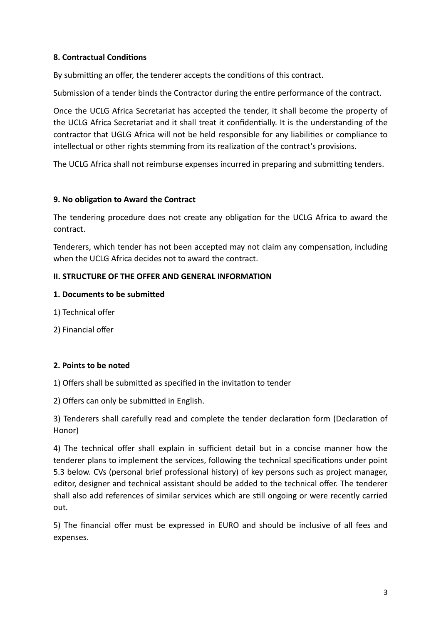### **8. Contractual Conditions**

By submitting an offer, the tenderer accepts the conditions of this contract.

Submission of a tender binds the Contractor during the entire performance of the contract.

Once the UCLG Africa Secretariat has accepted the tender, it shall become the property of the UCLG Africa Secretariat and it shall treat it confidentially. It is the understanding of the contractor that UGLG Africa will not be held responsible for any liabilities or compliance to intellectual or other rights stemming from its realization of the contract's provisions.

The UCLG Africa shall not reimburse expenses incurred in preparing and submitting tenders.

#### **9. No obligation to Award the Contract**

The tendering procedure does not create any obligation for the UCLG Africa to award the contract.

Tenderers, which tender has not been accepted may not claim any compensation, including when the UCLG Africa decides not to award the contract.

#### **II. STRUCTURE OF THE OFFER AND GENERAL INFORMATION**

#### **1. Documents to be submitted**

- 1) Technical offer
- 2) Financial offer

### **2. Points to be noted**

1) Offers shall be submitted as specified in the invitation to tender

2) Offers can only be submitted in English.

3) Tenderers shall carefully read and complete the tender declaration form (Declaration of Honor)

4) The technical offer shall explain in sufficient detail but in a concise manner how the tenderer plans to implement the services, following the technical specifications under point 5.3 below. CVs (personal brief professional history) of key persons such as project manager, editor, designer and technical assistant should be added to the technical offer. The tenderer shall also add references of similar services which are still ongoing or were recently carried out.

5) The financial offer must be expressed in EURO and should be inclusive of all fees and expenses.